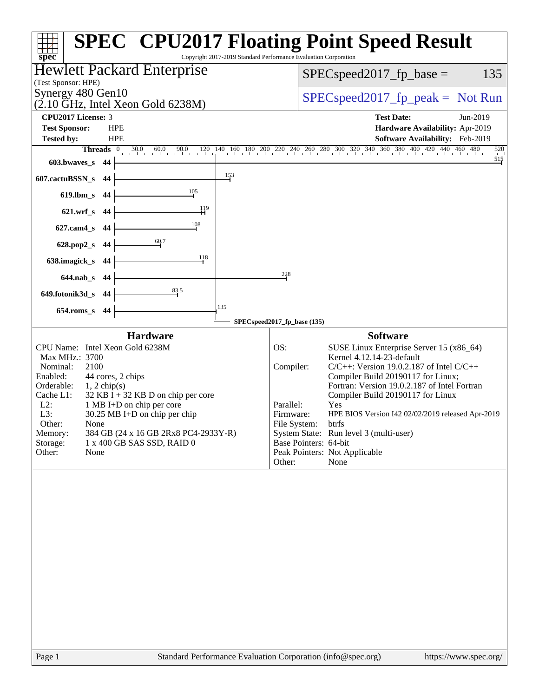| Copyright 2017-2019 Standard Performance Evaluation Corporation<br>spec <sup>®</sup>                                                                                                                                                                                                                                                                                                                                           | <b>SPEC<sup>®</sup> CPU2017 Floating Point Speed Result</b>                                                                                                                                                                                                                                                                                                                                                                                                                                                                   |
|--------------------------------------------------------------------------------------------------------------------------------------------------------------------------------------------------------------------------------------------------------------------------------------------------------------------------------------------------------------------------------------------------------------------------------|-------------------------------------------------------------------------------------------------------------------------------------------------------------------------------------------------------------------------------------------------------------------------------------------------------------------------------------------------------------------------------------------------------------------------------------------------------------------------------------------------------------------------------|
| Hewlett Packard Enterprise                                                                                                                                                                                                                                                                                                                                                                                                     | 135<br>$SPEC speed2017fp base =$                                                                                                                                                                                                                                                                                                                                                                                                                                                                                              |
| (Test Sponsor: HPE)<br>Synergy 480 Gen10<br>$(2.10 \text{ GHz}, \text{Intel Xeon Gold } 6238\text{M})$                                                                                                                                                                                                                                                                                                                         | $SPEC speed2017fr peak = Not Run$                                                                                                                                                                                                                                                                                                                                                                                                                                                                                             |
| CPU2017 License: 3                                                                                                                                                                                                                                                                                                                                                                                                             | <b>Test Date:</b><br>Jun-2019                                                                                                                                                                                                                                                                                                                                                                                                                                                                                                 |
| <b>Test Sponsor:</b><br><b>HPE</b>                                                                                                                                                                                                                                                                                                                                                                                             | Hardware Availability: Apr-2019                                                                                                                                                                                                                                                                                                                                                                                                                                                                                               |
| Tested by:<br><b>HPE</b>                                                                                                                                                                                                                                                                                                                                                                                                       | Software Availability: Feb-2019                                                                                                                                                                                                                                                                                                                                                                                                                                                                                               |
| <b>Threads</b> $\vert 0 \vert$                                                                                                                                                                                                                                                                                                                                                                                                 | $30.0 \qquad 60.0 \qquad 90.0 \qquad 120 \qquad 140 \qquad 160 \qquad 180 \qquad 200 \qquad 220 \qquad 240 \qquad 260 \qquad 280 \qquad 300 \qquad 320 \qquad 340 \qquad 360 \qquad 380 \qquad 400 \qquad 420 \qquad 440 \qquad 460 \qquad 480$<br>520                                                                                                                                                                                                                                                                        |
| 603.bwaves_s 44                                                                                                                                                                                                                                                                                                                                                                                                                | $\frac{515}{1}$                                                                                                                                                                                                                                                                                                                                                                                                                                                                                                               |
| $\frac{153}{2}$<br>607.cactuBSSN_s<br>- 44                                                                                                                                                                                                                                                                                                                                                                                     |                                                                                                                                                                                                                                                                                                                                                                                                                                                                                                                               |
| 105<br>619.lbm_s<br>-44                                                                                                                                                                                                                                                                                                                                                                                                        |                                                                                                                                                                                                                                                                                                                                                                                                                                                                                                                               |
| 119<br>621.wrf_s 44                                                                                                                                                                                                                                                                                                                                                                                                            |                                                                                                                                                                                                                                                                                                                                                                                                                                                                                                                               |
| 108<br>$627$ .cam $4$ <sub>_S</sub><br>-44                                                                                                                                                                                                                                                                                                                                                                                     |                                                                                                                                                                                                                                                                                                                                                                                                                                                                                                                               |
| $\stackrel{60.7}{\rightarrow}$<br>628.pop2_s 44                                                                                                                                                                                                                                                                                                                                                                                |                                                                                                                                                                                                                                                                                                                                                                                                                                                                                                                               |
| 118<br>638.imagick_s 44                                                                                                                                                                                                                                                                                                                                                                                                        |                                                                                                                                                                                                                                                                                                                                                                                                                                                                                                                               |
| 644.nab_s 44                                                                                                                                                                                                                                                                                                                                                                                                                   | 228                                                                                                                                                                                                                                                                                                                                                                                                                                                                                                                           |
| 83.5<br>649.fotonik3d_s 44                                                                                                                                                                                                                                                                                                                                                                                                     |                                                                                                                                                                                                                                                                                                                                                                                                                                                                                                                               |
| 135<br>$654$ .roms_s<br>44                                                                                                                                                                                                                                                                                                                                                                                                     |                                                                                                                                                                                                                                                                                                                                                                                                                                                                                                                               |
|                                                                                                                                                                                                                                                                                                                                                                                                                                | SPECspeed2017_fp_base (135)                                                                                                                                                                                                                                                                                                                                                                                                                                                                                                   |
| <b>Hardware</b><br>CPU Name: Intel Xeon Gold 6238M<br>Max MHz.: 3700<br>2100<br>Nominal:<br>Enabled:<br>44 cores, 2 chips<br>Orderable:<br>$1, 2$ chip(s)<br>$32$ KB I + 32 KB D on chip per core<br>Cache L1:<br>$L2$ :<br>1 MB I+D on chip per core<br>L3:<br>30.25 MB I+D on chip per chip<br>Other:<br>None<br>Memory:<br>384 GB (24 x 16 GB 2Rx8 PC4-2933Y-R)<br>Storage:<br>1 x 400 GB SAS SSD, RAID 0<br>Other:<br>None | <b>Software</b><br>SUSE Linux Enterprise Server 15 (x86_64)<br>OS:<br>Kernel 4.12.14-23-default<br>$C/C++$ : Version 19.0.2.187 of Intel $C/C++$<br>Compiler:<br>Compiler Build 20190117 for Linux;<br>Fortran: Version 19.0.2.187 of Intel Fortran<br>Compiler Build 20190117 for Linux<br>Parallel:<br>Yes<br>Firmware:<br>HPE BIOS Version I42 02/02/2019 released Apr-2019<br>File System:<br>btrfs<br>System State: Run level 3 (multi-user)<br>Base Pointers: 64-bit<br>Peak Pointers: Not Applicable<br>None<br>Other: |
|                                                                                                                                                                                                                                                                                                                                                                                                                                |                                                                                                                                                                                                                                                                                                                                                                                                                                                                                                                               |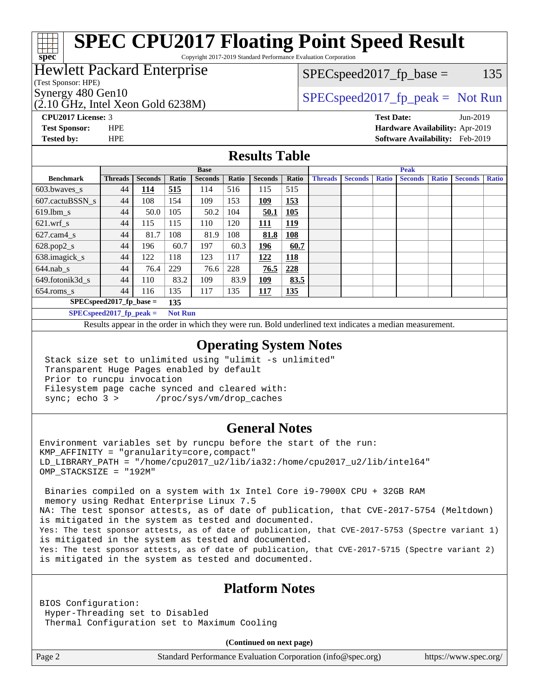# **[SPEC CPU2017 Floating Point Speed Result](http://www.spec.org/auto/cpu2017/Docs/result-fields.html#SPECCPU2017FloatingPointSpeedResult)**

Copyright 2017-2019 Standard Performance Evaluation Corporation

### Hewlett Packard Enterprise

(Test Sponsor: HPE)

**[spec](http://www.spec.org/)**

(2.10 GHz, Intel Xeon Gold 6238M)

 $SPEC speed2017_fp\_base = 135$ 

## Synergy 480 Gen10  $SPEC speed2017$  fp\_peak = Not Run

**[CPU2017 License:](http://www.spec.org/auto/cpu2017/Docs/result-fields.html#CPU2017License)** 3 **[Test Date:](http://www.spec.org/auto/cpu2017/Docs/result-fields.html#TestDate)** Jun-2019 **[Test Sponsor:](http://www.spec.org/auto/cpu2017/Docs/result-fields.html#TestSponsor)** HPE **[Hardware Availability:](http://www.spec.org/auto/cpu2017/Docs/result-fields.html#HardwareAvailability)** Apr-2019 **[Tested by:](http://www.spec.org/auto/cpu2017/Docs/result-fields.html#Testedby)** HPE **[Software Availability:](http://www.spec.org/auto/cpu2017/Docs/result-fields.html#SoftwareAvailability)** Feb-2019

### **[Results Table](http://www.spec.org/auto/cpu2017/Docs/result-fields.html#ResultsTable)**

|                          | <b>Base</b>                |                |                |                |       | <b>Peak</b>    |            |                |                |              |                |              |                |              |
|--------------------------|----------------------------|----------------|----------------|----------------|-------|----------------|------------|----------------|----------------|--------------|----------------|--------------|----------------|--------------|
| <b>Benchmark</b>         | <b>Threads</b>             | <b>Seconds</b> | Ratio          | <b>Seconds</b> | Ratio | <b>Seconds</b> | Ratio      | <b>Threads</b> | <b>Seconds</b> | <b>Ratio</b> | <b>Seconds</b> | <b>Ratio</b> | <b>Seconds</b> | <b>Ratio</b> |
| 603.bwayes s             | 44                         | 114            | 515            | 114            | 516   | 115            | 515        |                |                |              |                |              |                |              |
| 607.cactuBSSN s          | 44                         | 108            | 154            | 109            | 153   | <u>109</u>     | 153        |                |                |              |                |              |                |              |
| $619.$ lbm_s             | 44                         | 50.0           | 105            | 50.2           | 104   | 50.1           | 105        |                |                |              |                |              |                |              |
| $621.wrf$ s              | 44                         | 115            | 115            | 110            | 120   | 111            | <u>119</u> |                |                |              |                |              |                |              |
| $627$ .cam $4 \text{ s}$ | 44                         | 81.7           | 108            | 81.9           | 108   | 81.8           | <u>108</u> |                |                |              |                |              |                |              |
| $628.pop2_s$             | 44                         | 196            | 60.7           | 197            | 60.3  | 196            | 60.7       |                |                |              |                |              |                |              |
| 638.imagick_s            | 44                         | 122            | 118            | 123            | 117   | 122            | 118        |                |                |              |                |              |                |              |
| $644$ .nab s             | 44                         | 76.4           | 229            | 76.6           | 228   | 76.5           | <b>228</b> |                |                |              |                |              |                |              |
| 649.fotonik3d s          | 44                         | 110            | 83.2           | 109            | 83.9  | 109            | 83.5       |                |                |              |                |              |                |              |
| $654$ .roms s            | 44                         | 116            | 135            | 117            | 135   | <b>117</b>     | <u>135</u> |                |                |              |                |              |                |              |
|                          | $SPEC speed2017$ fp base = |                | 135            |                |       |                |            |                |                |              |                |              |                |              |
|                          | $SPECspeed2017_fp\_peak =$ |                | <b>Not Run</b> |                |       |                |            |                |                |              |                |              |                |              |

Results appear in the [order in which they were run.](http://www.spec.org/auto/cpu2017/Docs/result-fields.html#RunOrder) Bold underlined text [indicates a median measurement](http://www.spec.org/auto/cpu2017/Docs/result-fields.html#Median).

### **[Operating System Notes](http://www.spec.org/auto/cpu2017/Docs/result-fields.html#OperatingSystemNotes)**

 Stack size set to unlimited using "ulimit -s unlimited" Transparent Huge Pages enabled by default Prior to runcpu invocation Filesystem page cache synced and cleared with: sync; echo 3 > /proc/sys/vm/drop\_caches

### **[General Notes](http://www.spec.org/auto/cpu2017/Docs/result-fields.html#GeneralNotes)**

Environment variables set by runcpu before the start of the run: KMP\_AFFINITY = "granularity=core,compact" LD\_LIBRARY\_PATH = "/home/cpu2017\_u2/lib/ia32:/home/cpu2017\_u2/lib/intel64" OMP\_STACKSIZE = "192M"

 Binaries compiled on a system with 1x Intel Core i9-7900X CPU + 32GB RAM memory using Redhat Enterprise Linux 7.5 NA: The test sponsor attests, as of date of publication, that CVE-2017-5754 (Meltdown) is mitigated in the system as tested and documented. Yes: The test sponsor attests, as of date of publication, that CVE-2017-5753 (Spectre variant 1) is mitigated in the system as tested and documented. Yes: The test sponsor attests, as of date of publication, that CVE-2017-5715 (Spectre variant 2) is mitigated in the system as tested and documented.

### **[Platform Notes](http://www.spec.org/auto/cpu2017/Docs/result-fields.html#PlatformNotes)**

BIOS Configuration: Hyper-Threading set to Disabled Thermal Configuration set to Maximum Cooling

**(Continued on next page)**

Page 2 Standard Performance Evaluation Corporation [\(info@spec.org\)](mailto:info@spec.org) <https://www.spec.org/>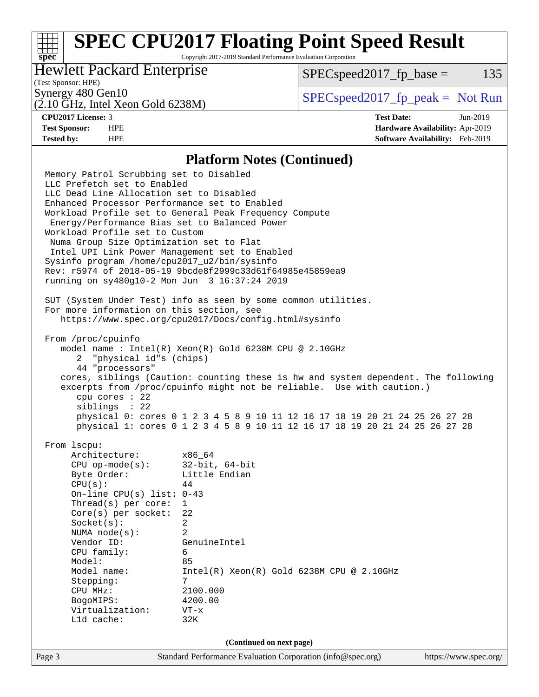# **[SPEC CPU2017 Floating Point Speed Result](http://www.spec.org/auto/cpu2017/Docs/result-fields.html#SPECCPU2017FloatingPointSpeedResult)**

Copyright 2017-2019 Standard Performance Evaluation Corporation

### Hewlett Packard Enterprise

 $SPEC speed2017<sub>fp</sub> base = 135$ 

### (Test Sponsor: HPE)

(2.10 GHz, Intel Xeon Gold 6238M)

Synergy 480 Gen10  $S^{perg}$  [SPECspeed2017\\_fp\\_peak =](http://www.spec.org/auto/cpu2017/Docs/result-fields.html#SPECspeed2017fppeak) Not Run

**[spec](http://www.spec.org/)**

**[CPU2017 License:](http://www.spec.org/auto/cpu2017/Docs/result-fields.html#CPU2017License)** 3 **[Test Date:](http://www.spec.org/auto/cpu2017/Docs/result-fields.html#TestDate)** Jun-2019 **[Test Sponsor:](http://www.spec.org/auto/cpu2017/Docs/result-fields.html#TestSponsor)** HPE **[Hardware Availability:](http://www.spec.org/auto/cpu2017/Docs/result-fields.html#HardwareAvailability)** Apr-2019 **[Tested by:](http://www.spec.org/auto/cpu2017/Docs/result-fields.html#Testedby)** HPE **[Software Availability:](http://www.spec.org/auto/cpu2017/Docs/result-fields.html#SoftwareAvailability)** Feb-2019

### **[Platform Notes \(Continued\)](http://www.spec.org/auto/cpu2017/Docs/result-fields.html#PlatformNotes)**

Page 3 Standard Performance Evaluation Corporation [\(info@spec.org\)](mailto:info@spec.org) <https://www.spec.org/> Memory Patrol Scrubbing set to Disabled LLC Prefetch set to Enabled LLC Dead Line Allocation set to Disabled Enhanced Processor Performance set to Enabled Workload Profile set to General Peak Frequency Compute Energy/Performance Bias set to Balanced Power Workload Profile set to Custom Numa Group Size Optimization set to Flat Intel UPI Link Power Management set to Enabled Sysinfo program /home/cpu2017\_u2/bin/sysinfo Rev: r5974 of 2018-05-19 9bcde8f2999c33d61f64985e45859ea9 running on sy480g10-2 Mon Jun 3 16:37:24 2019 SUT (System Under Test) info as seen by some common utilities. For more information on this section, see <https://www.spec.org/cpu2017/Docs/config.html#sysinfo> From /proc/cpuinfo model name : Intel(R) Xeon(R) Gold 6238M CPU @ 2.10GHz 2 "physical id"s (chips) 44 "processors" cores, siblings (Caution: counting these is hw and system dependent. The following excerpts from /proc/cpuinfo might not be reliable. Use with caution.) cpu cores : 22 siblings : 22 physical 0: cores 0 1 2 3 4 5 8 9 10 11 12 16 17 18 19 20 21 24 25 26 27 28 physical 1: cores 0 1 2 3 4 5 8 9 10 11 12 16 17 18 19 20 21 24 25 26 27 28 From lscpu: Architecture: x86\_64 CPU op-mode(s): 32-bit, 64-bit Byte Order: Little Endian  $CPU(s):$  44 On-line CPU(s) list: 0-43 Thread(s) per core: 1 Core(s) per socket: 22 Socket(s): 2 NUMA node(s): 2 Vendor ID: GenuineIntel CPU family: 6 Model: 85 Model name: Intel(R) Xeon(R) Gold 6238M CPU @ 2.10GHz Stepping: 7 CPU MHz: 2100.000 BogoMIPS: 4200.00 Virtualization: VT-x L1d cache: 32K **(Continued on next page)**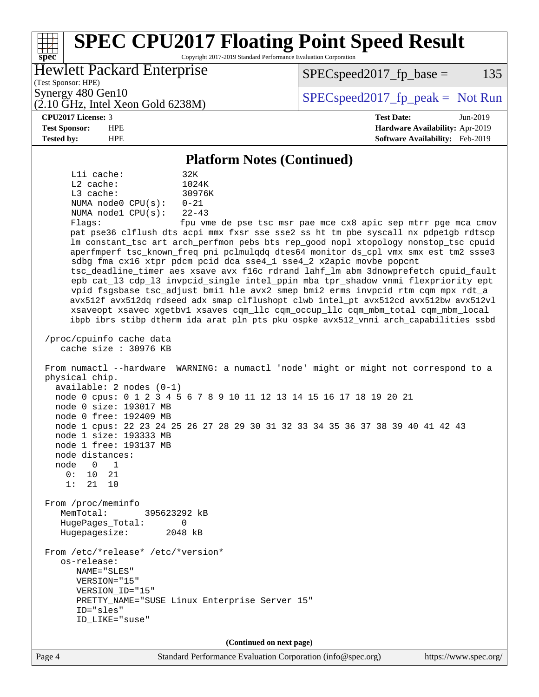### Page 4 Standard Performance Evaluation Corporation [\(info@spec.org\)](mailto:info@spec.org) <https://www.spec.org/> **[spec](http://www.spec.org/) [SPEC CPU2017 Floating Point Speed Result](http://www.spec.org/auto/cpu2017/Docs/result-fields.html#SPECCPU2017FloatingPointSpeedResult)** Copyright 2017-2019 Standard Performance Evaluation Corporation (Test Sponsor: HPE) Hewlett Packard Enterprise (2.10 GHz, Intel Xeon Gold 6238M) Synergy 480 Gen10  $S^{per}$  [SPECspeed2017\\_fp\\_peak =](http://www.spec.org/auto/cpu2017/Docs/result-fields.html#SPECspeed2017fppeak) Not Run  $SPEC speed2017<sub>fp</sub> base = 135$ **[CPU2017 License:](http://www.spec.org/auto/cpu2017/Docs/result-fields.html#CPU2017License)** 3 **[Test Date:](http://www.spec.org/auto/cpu2017/Docs/result-fields.html#TestDate)** Jun-2019 **[Test Sponsor:](http://www.spec.org/auto/cpu2017/Docs/result-fields.html#TestSponsor)** HPE **[Hardware Availability:](http://www.spec.org/auto/cpu2017/Docs/result-fields.html#HardwareAvailability)** Apr-2019 **[Tested by:](http://www.spec.org/auto/cpu2017/Docs/result-fields.html#Testedby)** HPE **[Software Availability:](http://www.spec.org/auto/cpu2017/Docs/result-fields.html#SoftwareAvailability)** Feb-2019 **[Platform Notes \(Continued\)](http://www.spec.org/auto/cpu2017/Docs/result-fields.html#PlatformNotes)** L1i cache: 32K L2 cache: 1024K L3 cache: 30976K NUMA node0 CPU(s): 0-21 NUMA node1 CPU(s): 22-43 Flags: fpu vme de pse tsc msr pae mce cx8 apic sep mtrr pge mca cmov pat pse36 clflush dts acpi mmx fxsr sse sse2 ss ht tm pbe syscall nx pdpe1gb rdtscp lm constant\_tsc art arch\_perfmon pebs bts rep\_good nopl xtopology nonstop\_tsc cpuid aperfmperf tsc\_known\_freq pni pclmulqdq dtes64 monitor ds\_cpl vmx smx est tm2 ssse3 sdbg fma cx16 xtpr pdcm pcid dca sse4\_1 sse4\_2 x2apic movbe popcnt tsc\_deadline\_timer aes xsave avx f16c rdrand lahf\_lm abm 3dnowprefetch cpuid\_fault epb cat\_l3 cdp\_l3 invpcid\_single intel\_ppin mba tpr\_shadow vnmi flexpriority ept vpid fsgsbase tsc\_adjust bmi1 hle avx2 smep bmi2 erms invpcid rtm cqm mpx rdt\_a avx512f avx512dq rdseed adx smap clflushopt clwb intel\_pt avx512cd avx512bw avx512vl xsaveopt xsavec xgetbv1 xsaves cqm\_llc cqm\_occup\_llc cqm\_mbm\_total cqm\_mbm\_local ibpb ibrs stibp dtherm ida arat pln pts pku ospke avx512\_vnni arch\_capabilities ssbd /proc/cpuinfo cache data cache size : 30976 KB From numactl --hardware WARNING: a numactl 'node' might or might not correspond to a physical chip. available: 2 nodes (0-1) node 0 cpus: 0 1 2 3 4 5 6 7 8 9 10 11 12 13 14 15 16 17 18 19 20 21 node 0 size: 193017 MB node 0 free: 192409 MB node 1 cpus: 22 23 24 25 26 27 28 29 30 31 32 33 34 35 36 37 38 39 40 41 42 43 node 1 size: 193333 MB node 1 free: 193137 MB node distances: node 0 1 0: 10 21 1: 21 10 From /proc/meminfo MemTotal: 395623292 kB HugePages\_Total: 0 Hugepagesize: 2048 kB From /etc/\*release\* /etc/\*version\* os-release: NAME="SLES" VERSION="15" VERSION\_ID="15" PRETTY\_NAME="SUSE Linux Enterprise Server 15" ID="sles" ID\_LIKE="suse" **(Continued on next page)**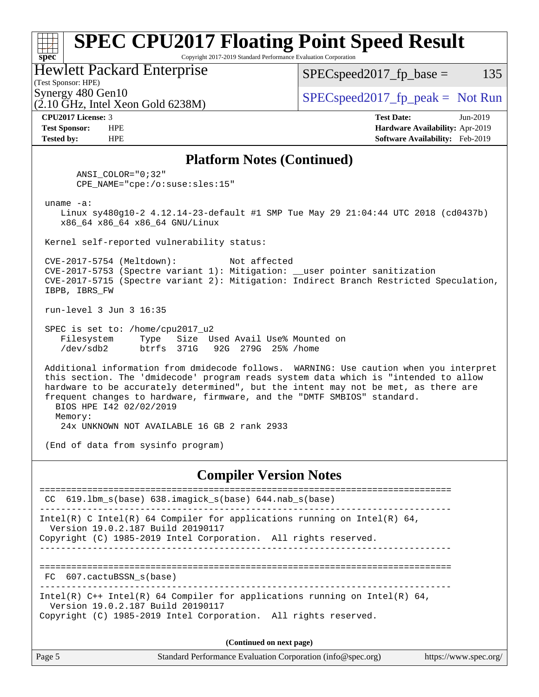### **[spec](http://www.spec.org/) [SPEC CPU2017 Floating Point Speed Result](http://www.spec.org/auto/cpu2017/Docs/result-fields.html#SPECCPU2017FloatingPointSpeedResult)** Copyright 2017-2019 Standard Performance Evaluation Corporation (Test Sponsor: HPE) Hewlett Packard Enterprise  $(2.10 \text{ GHz}, \text{Intel Xeon Gold } 6238\text{M})$  $\begin{array}{c|c}\n\text{Synergy } 480 \text{ Gen10} \\
\hline\n\text{Gen10} \\
\text{SPEC speed} \\
\text{2017\_fp\_peak} = \text{Not Run}\n\end{array}$  $SPEC speed2017_fp\_base = 135$ **[CPU2017 License:](http://www.spec.org/auto/cpu2017/Docs/result-fields.html#CPU2017License)** 3 **[Test Date:](http://www.spec.org/auto/cpu2017/Docs/result-fields.html#TestDate)** Jun-2019 **[Test Sponsor:](http://www.spec.org/auto/cpu2017/Docs/result-fields.html#TestSponsor)** HPE **[Hardware Availability:](http://www.spec.org/auto/cpu2017/Docs/result-fields.html#HardwareAvailability)** Apr-2019 **[Tested by:](http://www.spec.org/auto/cpu2017/Docs/result-fields.html#Testedby)** HPE **[Software Availability:](http://www.spec.org/auto/cpu2017/Docs/result-fields.html#SoftwareAvailability)** Feb-2019 **[Platform Notes \(Continued\)](http://www.spec.org/auto/cpu2017/Docs/result-fields.html#PlatformNotes)** ANSI\_COLOR="0;32" CPE\_NAME="cpe:/o:suse:sles:15" uname -a: Linux sy480g10-2 4.12.14-23-default #1 SMP Tue May 29 21:04:44 UTC 2018 (cd0437b) x86\_64 x86\_64 x86\_64 GNU/Linux Kernel self-reported vulnerability status: CVE-2017-5754 (Meltdown): Not affected CVE-2017-5753 (Spectre variant 1): Mitigation: \_\_user pointer sanitization CVE-2017-5715 (Spectre variant 2): Mitigation: Indirect Branch Restricted Speculation, IBPB, IBRS\_FW run-level 3 Jun 3 16:35 SPEC is set to: /home/cpu2017\_u2 Filesystem Type Size Used Avail Use% Mounted on /dev/sdb2 btrfs 371G 92G 279G 25% /home Additional information from dmidecode follows. WARNING: Use caution when you interpret this section. The 'dmidecode' program reads system data which is "intended to allow hardware to be accurately determined", but the intent may not be met, as there are frequent changes to hardware, firmware, and the "DMTF SMBIOS" standard. BIOS HPE I42 02/02/2019 Memory: 24x UNKNOWN NOT AVAILABLE 16 GB 2 rank 2933 (End of data from sysinfo program) **[Compiler Version Notes](http://www.spec.org/auto/cpu2017/Docs/result-fields.html#CompilerVersionNotes)** ============================================================================== CC 619.lbm\_s(base) 638.imagick\_s(base) 644.nab\_s(base) ------------------------------------------------------------------------------ Intel(R) C Intel(R) 64 Compiler for applications running on Intel(R)  $64$ , Version 19.0.2.187 Build 20190117 Copyright (C) 1985-2019 Intel Corporation. All rights reserved. ------------------------------------------------------------------------------ ============================================================================== FC 607.cactuBSSN\_s(base) ------------------------------------------------------------------------------ Intel(R) C++ Intel(R) 64 Compiler for applications running on Intel(R) 64, Version 19.0.2.187 Build 20190117 Copyright (C) 1985-2019 Intel Corporation. All rights reserved. **(Continued on next page)**

Page 5 Standard Performance Evaluation Corporation [\(info@spec.org\)](mailto:info@spec.org) <https://www.spec.org/>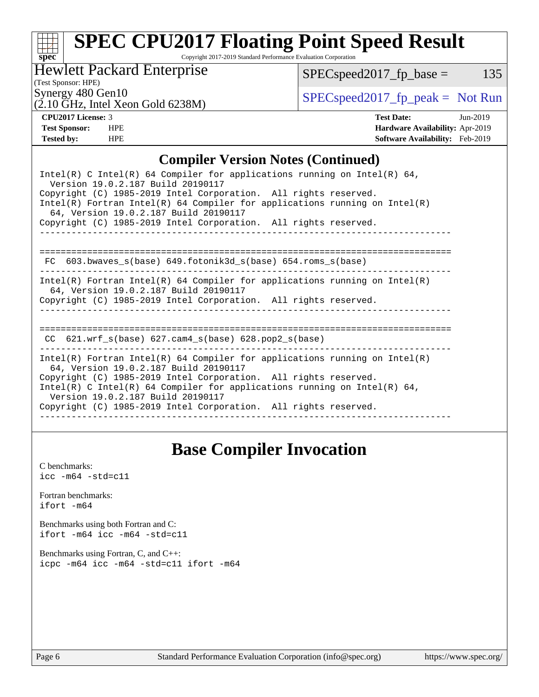# **[spec](http://www.spec.org/)**

# **[SPEC CPU2017 Floating Point Speed Result](http://www.spec.org/auto/cpu2017/Docs/result-fields.html#SPECCPU2017FloatingPointSpeedResult)**

Copyright 2017-2019 Standard Performance Evaluation Corporation

Hewlett Packard Enterprise

 $SPEC speed2017_fp\_base = 135$ 

(Test Sponsor: HPE)

 $(2.10 \text{ GHz}, \text{Intel Xeon Gold } 6238\text{M})$ 

Synergy 480 Gen10<br>  $SPEC speed2017<sub>rfp</sub> peak = Not Run$ 

**[CPU2017 License:](http://www.spec.org/auto/cpu2017/Docs/result-fields.html#CPU2017License)** 3 **[Test Date:](http://www.spec.org/auto/cpu2017/Docs/result-fields.html#TestDate)** Jun-2019 **[Test Sponsor:](http://www.spec.org/auto/cpu2017/Docs/result-fields.html#TestSponsor)** HPE **[Hardware Availability:](http://www.spec.org/auto/cpu2017/Docs/result-fields.html#HardwareAvailability)** Apr-2019 **[Tested by:](http://www.spec.org/auto/cpu2017/Docs/result-fields.html#Testedby)** HPE **[Software Availability:](http://www.spec.org/auto/cpu2017/Docs/result-fields.html#SoftwareAvailability)** Feb-2019

### **[Compiler Version Notes \(Continued\)](http://www.spec.org/auto/cpu2017/Docs/result-fields.html#CompilerVersionNotes)**

| Intel(R) C Intel(R) 64 Compiler for applications running on Intel(R) 64,<br>Version 19.0.2.187 Build 20190117                                                                          |  |  |  |  |  |
|----------------------------------------------------------------------------------------------------------------------------------------------------------------------------------------|--|--|--|--|--|
| Copyright (C) 1985-2019 Intel Corporation. All rights reserved.<br>Intel(R) Fortran Intel(R) 64 Compiler for applications running on Intel(R)<br>64, Version 19.0.2.187 Build 20190117 |  |  |  |  |  |
| Copyright (C) 1985-2019 Intel Corporation. All rights reserved.                                                                                                                        |  |  |  |  |  |
|                                                                                                                                                                                        |  |  |  |  |  |
| 603.bwaves s(base) 649.fotonik3d s(base) 654.roms s(base)<br>FC.                                                                                                                       |  |  |  |  |  |
| Intel(R) Fortran Intel(R) 64 Compiler for applications running on Intel(R)<br>64, Version 19.0.2.187 Build 20190117                                                                    |  |  |  |  |  |
| Copyright (C) 1985-2019 Intel Corporation. All rights reserved.                                                                                                                        |  |  |  |  |  |
|                                                                                                                                                                                        |  |  |  |  |  |
| 621.wrf $s(base)$ 627.cam4 $s(base)$ 628.pop2 $s(base)$<br>CC.                                                                                                                         |  |  |  |  |  |
| $Intel(R)$ Fortran Intel(R) 64 Compiler for applications running on Intel(R)<br>64, Version 19.0.2.187 Build 20190117                                                                  |  |  |  |  |  |
| Copyright (C) 1985-2019 Intel Corporation. All rights reserved.<br>Intel(R) C Intel(R) 64 Compiler for applications running on Intel(R) 64,<br>Version 19.0.2.187 Build 20190117       |  |  |  |  |  |
| Copyright (C) 1985-2019 Intel Corporation. All rights reserved.                                                                                                                        |  |  |  |  |  |
|                                                                                                                                                                                        |  |  |  |  |  |

## **[Base Compiler Invocation](http://www.spec.org/auto/cpu2017/Docs/result-fields.html#BaseCompilerInvocation)**

[C benchmarks](http://www.spec.org/auto/cpu2017/Docs/result-fields.html#Cbenchmarks):  $\text{icc}$  -m64 -std=c11 [Fortran benchmarks](http://www.spec.org/auto/cpu2017/Docs/result-fields.html#Fortranbenchmarks): [ifort -m64](http://www.spec.org/cpu2017/results/res2019q3/cpu2017-20190624-15618.flags.html#user_FCbase_intel_ifort_64bit_24f2bb282fbaeffd6157abe4f878425411749daecae9a33200eee2bee2fe76f3b89351d69a8130dd5949958ce389cf37ff59a95e7a40d588e8d3a57e0c3fd751) [Benchmarks using both Fortran and C](http://www.spec.org/auto/cpu2017/Docs/result-fields.html#BenchmarksusingbothFortranandC): [ifort -m64](http://www.spec.org/cpu2017/results/res2019q3/cpu2017-20190624-15618.flags.html#user_CC_FCbase_intel_ifort_64bit_24f2bb282fbaeffd6157abe4f878425411749daecae9a33200eee2bee2fe76f3b89351d69a8130dd5949958ce389cf37ff59a95e7a40d588e8d3a57e0c3fd751) [icc -m64 -std=c11](http://www.spec.org/cpu2017/results/res2019q3/cpu2017-20190624-15618.flags.html#user_CC_FCbase_intel_icc_64bit_c11_33ee0cdaae7deeeab2a9725423ba97205ce30f63b9926c2519791662299b76a0318f32ddfffdc46587804de3178b4f9328c46fa7c2b0cd779d7a61945c91cd35) [Benchmarks using Fortran, C, and C++:](http://www.spec.org/auto/cpu2017/Docs/result-fields.html#BenchmarksusingFortranCandCXX) [icpc -m64](http://www.spec.org/cpu2017/results/res2019q3/cpu2017-20190624-15618.flags.html#user_CC_CXX_FCbase_intel_icpc_64bit_4ecb2543ae3f1412ef961e0650ca070fec7b7afdcd6ed48761b84423119d1bf6bdf5cad15b44d48e7256388bc77273b966e5eb805aefd121eb22e9299b2ec9d9) [icc -m64 -std=c11](http://www.spec.org/cpu2017/results/res2019q3/cpu2017-20190624-15618.flags.html#user_CC_CXX_FCbase_intel_icc_64bit_c11_33ee0cdaae7deeeab2a9725423ba97205ce30f63b9926c2519791662299b76a0318f32ddfffdc46587804de3178b4f9328c46fa7c2b0cd779d7a61945c91cd35) [ifort -m64](http://www.spec.org/cpu2017/results/res2019q3/cpu2017-20190624-15618.flags.html#user_CC_CXX_FCbase_intel_ifort_64bit_24f2bb282fbaeffd6157abe4f878425411749daecae9a33200eee2bee2fe76f3b89351d69a8130dd5949958ce389cf37ff59a95e7a40d588e8d3a57e0c3fd751)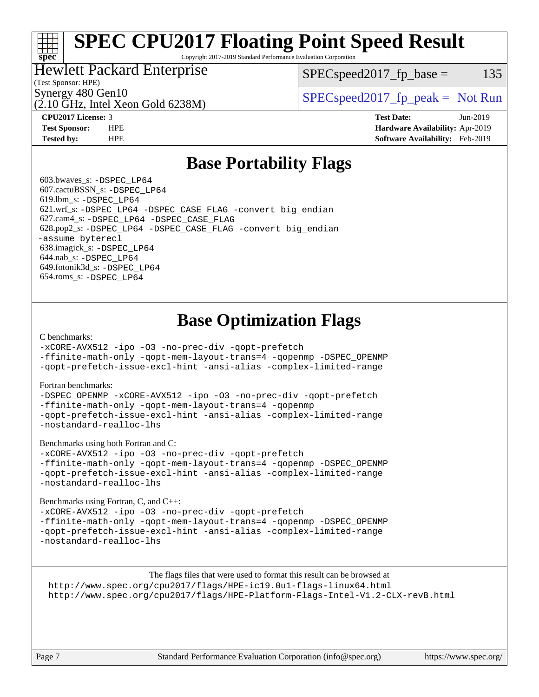# **[SPEC CPU2017 Floating Point Speed Result](http://www.spec.org/auto/cpu2017/Docs/result-fields.html#SPECCPU2017FloatingPointSpeedResult)**

Copyright 2017-2019 Standard Performance Evaluation Corporation

### Hewlett Packard Enterprise

 $SPEC speed2017_fp\_base = 135$ 

### (Test Sponsor: HPE)

**[spec](http://www.spec.org/)**

(2.10 GHz, Intel Xeon Gold 6238M)

Synergy 480 Gen10  $S^{per}$  [SPECspeed2017\\_fp\\_peak =](http://www.spec.org/auto/cpu2017/Docs/result-fields.html#SPECspeed2017fppeak) Not Run

**[CPU2017 License:](http://www.spec.org/auto/cpu2017/Docs/result-fields.html#CPU2017License)** 3 **[Test Date:](http://www.spec.org/auto/cpu2017/Docs/result-fields.html#TestDate)** Jun-2019 **[Test Sponsor:](http://www.spec.org/auto/cpu2017/Docs/result-fields.html#TestSponsor)** HPE **[Hardware Availability:](http://www.spec.org/auto/cpu2017/Docs/result-fields.html#HardwareAvailability)** Apr-2019 **[Tested by:](http://www.spec.org/auto/cpu2017/Docs/result-fields.html#Testedby)** HPE **[Software Availability:](http://www.spec.org/auto/cpu2017/Docs/result-fields.html#SoftwareAvailability)** Feb-2019

## **[Base Portability Flags](http://www.spec.org/auto/cpu2017/Docs/result-fields.html#BasePortabilityFlags)**

 603.bwaves\_s: [-DSPEC\\_LP64](http://www.spec.org/cpu2017/results/res2019q3/cpu2017-20190624-15618.flags.html#suite_basePORTABILITY603_bwaves_s_DSPEC_LP64) 607.cactuBSSN\_s: [-DSPEC\\_LP64](http://www.spec.org/cpu2017/results/res2019q3/cpu2017-20190624-15618.flags.html#suite_basePORTABILITY607_cactuBSSN_s_DSPEC_LP64) 619.lbm\_s: [-DSPEC\\_LP64](http://www.spec.org/cpu2017/results/res2019q3/cpu2017-20190624-15618.flags.html#suite_basePORTABILITY619_lbm_s_DSPEC_LP64) 621.wrf\_s: [-DSPEC\\_LP64](http://www.spec.org/cpu2017/results/res2019q3/cpu2017-20190624-15618.flags.html#suite_basePORTABILITY621_wrf_s_DSPEC_LP64) [-DSPEC\\_CASE\\_FLAG](http://www.spec.org/cpu2017/results/res2019q3/cpu2017-20190624-15618.flags.html#b621.wrf_s_baseCPORTABILITY_DSPEC_CASE_FLAG) [-convert big\\_endian](http://www.spec.org/cpu2017/results/res2019q3/cpu2017-20190624-15618.flags.html#user_baseFPORTABILITY621_wrf_s_convert_big_endian_c3194028bc08c63ac5d04de18c48ce6d347e4e562e8892b8bdbdc0214820426deb8554edfa529a3fb25a586e65a3d812c835984020483e7e73212c4d31a38223) 627.cam4\_s: [-DSPEC\\_LP64](http://www.spec.org/cpu2017/results/res2019q3/cpu2017-20190624-15618.flags.html#suite_basePORTABILITY627_cam4_s_DSPEC_LP64) [-DSPEC\\_CASE\\_FLAG](http://www.spec.org/cpu2017/results/res2019q3/cpu2017-20190624-15618.flags.html#b627.cam4_s_baseCPORTABILITY_DSPEC_CASE_FLAG) 628.pop2\_s: [-DSPEC\\_LP64](http://www.spec.org/cpu2017/results/res2019q3/cpu2017-20190624-15618.flags.html#suite_basePORTABILITY628_pop2_s_DSPEC_LP64) [-DSPEC\\_CASE\\_FLAG](http://www.spec.org/cpu2017/results/res2019q3/cpu2017-20190624-15618.flags.html#b628.pop2_s_baseCPORTABILITY_DSPEC_CASE_FLAG) [-convert big\\_endian](http://www.spec.org/cpu2017/results/res2019q3/cpu2017-20190624-15618.flags.html#user_baseFPORTABILITY628_pop2_s_convert_big_endian_c3194028bc08c63ac5d04de18c48ce6d347e4e562e8892b8bdbdc0214820426deb8554edfa529a3fb25a586e65a3d812c835984020483e7e73212c4d31a38223) [-assume byterecl](http://www.spec.org/cpu2017/results/res2019q3/cpu2017-20190624-15618.flags.html#user_baseFPORTABILITY628_pop2_s_assume_byterecl_7e47d18b9513cf18525430bbf0f2177aa9bf368bc7a059c09b2c06a34b53bd3447c950d3f8d6c70e3faf3a05c8557d66a5798b567902e8849adc142926523472) 638.imagick\_s: [-DSPEC\\_LP64](http://www.spec.org/cpu2017/results/res2019q3/cpu2017-20190624-15618.flags.html#suite_basePORTABILITY638_imagick_s_DSPEC_LP64) 644.nab\_s: [-DSPEC\\_LP64](http://www.spec.org/cpu2017/results/res2019q3/cpu2017-20190624-15618.flags.html#suite_basePORTABILITY644_nab_s_DSPEC_LP64) 649.fotonik3d\_s: [-DSPEC\\_LP64](http://www.spec.org/cpu2017/results/res2019q3/cpu2017-20190624-15618.flags.html#suite_basePORTABILITY649_fotonik3d_s_DSPEC_LP64) 654.roms\_s: [-DSPEC\\_LP64](http://www.spec.org/cpu2017/results/res2019q3/cpu2017-20190624-15618.flags.html#suite_basePORTABILITY654_roms_s_DSPEC_LP64)

## **[Base Optimization Flags](http://www.spec.org/auto/cpu2017/Docs/result-fields.html#BaseOptimizationFlags)**

#### [C benchmarks](http://www.spec.org/auto/cpu2017/Docs/result-fields.html#Cbenchmarks):

[-xCORE-AVX512](http://www.spec.org/cpu2017/results/res2019q3/cpu2017-20190624-15618.flags.html#user_CCbase_f-xCORE-AVX512) [-ipo](http://www.spec.org/cpu2017/results/res2019q3/cpu2017-20190624-15618.flags.html#user_CCbase_f-ipo) [-O3](http://www.spec.org/cpu2017/results/res2019q3/cpu2017-20190624-15618.flags.html#user_CCbase_f-O3) [-no-prec-div](http://www.spec.org/cpu2017/results/res2019q3/cpu2017-20190624-15618.flags.html#user_CCbase_f-no-prec-div) [-qopt-prefetch](http://www.spec.org/cpu2017/results/res2019q3/cpu2017-20190624-15618.flags.html#user_CCbase_f-qopt-prefetch)

[-ffinite-math-only](http://www.spec.org/cpu2017/results/res2019q3/cpu2017-20190624-15618.flags.html#user_CCbase_f_finite_math_only_cb91587bd2077682c4b38af759c288ed7c732db004271a9512da14a4f8007909a5f1427ecbf1a0fb78ff2a814402c6114ac565ca162485bbcae155b5e4258871) [-qopt-mem-layout-trans=4](http://www.spec.org/cpu2017/results/res2019q3/cpu2017-20190624-15618.flags.html#user_CCbase_f-qopt-mem-layout-trans_fa39e755916c150a61361b7846f310bcdf6f04e385ef281cadf3647acec3f0ae266d1a1d22d972a7087a248fd4e6ca390a3634700869573d231a252c784941a8) [-qopenmp](http://www.spec.org/cpu2017/results/res2019q3/cpu2017-20190624-15618.flags.html#user_CCbase_qopenmp_16be0c44f24f464004c6784a7acb94aca937f053568ce72f94b139a11c7c168634a55f6653758ddd83bcf7b8463e8028bb0b48b77bcddc6b78d5d95bb1df2967) [-DSPEC\\_OPENMP](http://www.spec.org/cpu2017/results/res2019q3/cpu2017-20190624-15618.flags.html#suite_CCbase_DSPEC_OPENMP) [-qopt-prefetch-issue-excl-hint](http://www.spec.org/cpu2017/results/res2019q3/cpu2017-20190624-15618.flags.html#user_CCbase_f-qopt-prefetch-issue-excl-hint) [-ansi-alias](http://www.spec.org/cpu2017/results/res2019q3/cpu2017-20190624-15618.flags.html#user_CCbase_f-ansi-alias) [-complex-limited-range](http://www.spec.org/cpu2017/results/res2019q3/cpu2017-20190624-15618.flags.html#user_CCbase_f-complex-limited-range)

#### [Fortran benchmarks](http://www.spec.org/auto/cpu2017/Docs/result-fields.html#Fortranbenchmarks):

[-DSPEC\\_OPENMP](http://www.spec.org/cpu2017/results/res2019q3/cpu2017-20190624-15618.flags.html#suite_FCbase_DSPEC_OPENMP) [-xCORE-AVX512](http://www.spec.org/cpu2017/results/res2019q3/cpu2017-20190624-15618.flags.html#user_FCbase_f-xCORE-AVX512) [-ipo](http://www.spec.org/cpu2017/results/res2019q3/cpu2017-20190624-15618.flags.html#user_FCbase_f-ipo) [-O3](http://www.spec.org/cpu2017/results/res2019q3/cpu2017-20190624-15618.flags.html#user_FCbase_f-O3) [-no-prec-div](http://www.spec.org/cpu2017/results/res2019q3/cpu2017-20190624-15618.flags.html#user_FCbase_f-no-prec-div) [-qopt-prefetch](http://www.spec.org/cpu2017/results/res2019q3/cpu2017-20190624-15618.flags.html#user_FCbase_f-qopt-prefetch) [-ffinite-math-only](http://www.spec.org/cpu2017/results/res2019q3/cpu2017-20190624-15618.flags.html#user_FCbase_f_finite_math_only_cb91587bd2077682c4b38af759c288ed7c732db004271a9512da14a4f8007909a5f1427ecbf1a0fb78ff2a814402c6114ac565ca162485bbcae155b5e4258871) [-qopt-mem-layout-trans=4](http://www.spec.org/cpu2017/results/res2019q3/cpu2017-20190624-15618.flags.html#user_FCbase_f-qopt-mem-layout-trans_fa39e755916c150a61361b7846f310bcdf6f04e385ef281cadf3647acec3f0ae266d1a1d22d972a7087a248fd4e6ca390a3634700869573d231a252c784941a8) [-qopenmp](http://www.spec.org/cpu2017/results/res2019q3/cpu2017-20190624-15618.flags.html#user_FCbase_qopenmp_16be0c44f24f464004c6784a7acb94aca937f053568ce72f94b139a11c7c168634a55f6653758ddd83bcf7b8463e8028bb0b48b77bcddc6b78d5d95bb1df2967) [-qopt-prefetch-issue-excl-hint](http://www.spec.org/cpu2017/results/res2019q3/cpu2017-20190624-15618.flags.html#user_FCbase_f-qopt-prefetch-issue-excl-hint) [-ansi-alias](http://www.spec.org/cpu2017/results/res2019q3/cpu2017-20190624-15618.flags.html#user_FCbase_f-ansi-alias) [-complex-limited-range](http://www.spec.org/cpu2017/results/res2019q3/cpu2017-20190624-15618.flags.html#user_FCbase_f-complex-limited-range) [-nostandard-realloc-lhs](http://www.spec.org/cpu2017/results/res2019q3/cpu2017-20190624-15618.flags.html#user_FCbase_f_2003_std_realloc_82b4557e90729c0f113870c07e44d33d6f5a304b4f63d4c15d2d0f1fab99f5daaed73bdb9275d9ae411527f28b936061aa8b9c8f2d63842963b95c9dd6426b8a)

[Benchmarks using both Fortran and C](http://www.spec.org/auto/cpu2017/Docs/result-fields.html#BenchmarksusingbothFortranandC):

[-xCORE-AVX512](http://www.spec.org/cpu2017/results/res2019q3/cpu2017-20190624-15618.flags.html#user_CC_FCbase_f-xCORE-AVX512) [-ipo](http://www.spec.org/cpu2017/results/res2019q3/cpu2017-20190624-15618.flags.html#user_CC_FCbase_f-ipo) [-O3](http://www.spec.org/cpu2017/results/res2019q3/cpu2017-20190624-15618.flags.html#user_CC_FCbase_f-O3) [-no-prec-div](http://www.spec.org/cpu2017/results/res2019q3/cpu2017-20190624-15618.flags.html#user_CC_FCbase_f-no-prec-div) [-qopt-prefetch](http://www.spec.org/cpu2017/results/res2019q3/cpu2017-20190624-15618.flags.html#user_CC_FCbase_f-qopt-prefetch) [-ffinite-math-only](http://www.spec.org/cpu2017/results/res2019q3/cpu2017-20190624-15618.flags.html#user_CC_FCbase_f_finite_math_only_cb91587bd2077682c4b38af759c288ed7c732db004271a9512da14a4f8007909a5f1427ecbf1a0fb78ff2a814402c6114ac565ca162485bbcae155b5e4258871) [-qopt-mem-layout-trans=4](http://www.spec.org/cpu2017/results/res2019q3/cpu2017-20190624-15618.flags.html#user_CC_FCbase_f-qopt-mem-layout-trans_fa39e755916c150a61361b7846f310bcdf6f04e385ef281cadf3647acec3f0ae266d1a1d22d972a7087a248fd4e6ca390a3634700869573d231a252c784941a8) [-qopenmp](http://www.spec.org/cpu2017/results/res2019q3/cpu2017-20190624-15618.flags.html#user_CC_FCbase_qopenmp_16be0c44f24f464004c6784a7acb94aca937f053568ce72f94b139a11c7c168634a55f6653758ddd83bcf7b8463e8028bb0b48b77bcddc6b78d5d95bb1df2967) [-DSPEC\\_OPENMP](http://www.spec.org/cpu2017/results/res2019q3/cpu2017-20190624-15618.flags.html#suite_CC_FCbase_DSPEC_OPENMP) [-qopt-prefetch-issue-excl-hint](http://www.spec.org/cpu2017/results/res2019q3/cpu2017-20190624-15618.flags.html#user_CC_FCbase_f-qopt-prefetch-issue-excl-hint) [-ansi-alias](http://www.spec.org/cpu2017/results/res2019q3/cpu2017-20190624-15618.flags.html#user_CC_FCbase_f-ansi-alias) [-complex-limited-range](http://www.spec.org/cpu2017/results/res2019q3/cpu2017-20190624-15618.flags.html#user_CC_FCbase_f-complex-limited-range) [-nostandard-realloc-lhs](http://www.spec.org/cpu2017/results/res2019q3/cpu2017-20190624-15618.flags.html#user_CC_FCbase_f_2003_std_realloc_82b4557e90729c0f113870c07e44d33d6f5a304b4f63d4c15d2d0f1fab99f5daaed73bdb9275d9ae411527f28b936061aa8b9c8f2d63842963b95c9dd6426b8a)

[Benchmarks using Fortran, C, and C++:](http://www.spec.org/auto/cpu2017/Docs/result-fields.html#BenchmarksusingFortranCandCXX)

[-xCORE-AVX512](http://www.spec.org/cpu2017/results/res2019q3/cpu2017-20190624-15618.flags.html#user_CC_CXX_FCbase_f-xCORE-AVX512) [-ipo](http://www.spec.org/cpu2017/results/res2019q3/cpu2017-20190624-15618.flags.html#user_CC_CXX_FCbase_f-ipo) [-O3](http://www.spec.org/cpu2017/results/res2019q3/cpu2017-20190624-15618.flags.html#user_CC_CXX_FCbase_f-O3) [-no-prec-div](http://www.spec.org/cpu2017/results/res2019q3/cpu2017-20190624-15618.flags.html#user_CC_CXX_FCbase_f-no-prec-div) [-qopt-prefetch](http://www.spec.org/cpu2017/results/res2019q3/cpu2017-20190624-15618.flags.html#user_CC_CXX_FCbase_f-qopt-prefetch) [-ffinite-math-only](http://www.spec.org/cpu2017/results/res2019q3/cpu2017-20190624-15618.flags.html#user_CC_CXX_FCbase_f_finite_math_only_cb91587bd2077682c4b38af759c288ed7c732db004271a9512da14a4f8007909a5f1427ecbf1a0fb78ff2a814402c6114ac565ca162485bbcae155b5e4258871) [-qopt-mem-layout-trans=4](http://www.spec.org/cpu2017/results/res2019q3/cpu2017-20190624-15618.flags.html#user_CC_CXX_FCbase_f-qopt-mem-layout-trans_fa39e755916c150a61361b7846f310bcdf6f04e385ef281cadf3647acec3f0ae266d1a1d22d972a7087a248fd4e6ca390a3634700869573d231a252c784941a8) [-qopenmp](http://www.spec.org/cpu2017/results/res2019q3/cpu2017-20190624-15618.flags.html#user_CC_CXX_FCbase_qopenmp_16be0c44f24f464004c6784a7acb94aca937f053568ce72f94b139a11c7c168634a55f6653758ddd83bcf7b8463e8028bb0b48b77bcddc6b78d5d95bb1df2967) [-DSPEC\\_OPENMP](http://www.spec.org/cpu2017/results/res2019q3/cpu2017-20190624-15618.flags.html#suite_CC_CXX_FCbase_DSPEC_OPENMP) [-qopt-prefetch-issue-excl-hint](http://www.spec.org/cpu2017/results/res2019q3/cpu2017-20190624-15618.flags.html#user_CC_CXX_FCbase_f-qopt-prefetch-issue-excl-hint) [-ansi-alias](http://www.spec.org/cpu2017/results/res2019q3/cpu2017-20190624-15618.flags.html#user_CC_CXX_FCbase_f-ansi-alias) [-complex-limited-range](http://www.spec.org/cpu2017/results/res2019q3/cpu2017-20190624-15618.flags.html#user_CC_CXX_FCbase_f-complex-limited-range) [-nostandard-realloc-lhs](http://www.spec.org/cpu2017/results/res2019q3/cpu2017-20190624-15618.flags.html#user_CC_CXX_FCbase_f_2003_std_realloc_82b4557e90729c0f113870c07e44d33d6f5a304b4f63d4c15d2d0f1fab99f5daaed73bdb9275d9ae411527f28b936061aa8b9c8f2d63842963b95c9dd6426b8a)

The flags files that were used to format this result can be browsed at <http://www.spec.org/cpu2017/flags/HPE-ic19.0u1-flags-linux64.html> <http://www.spec.org/cpu2017/flags/HPE-Platform-Flags-Intel-V1.2-CLX-revB.html>